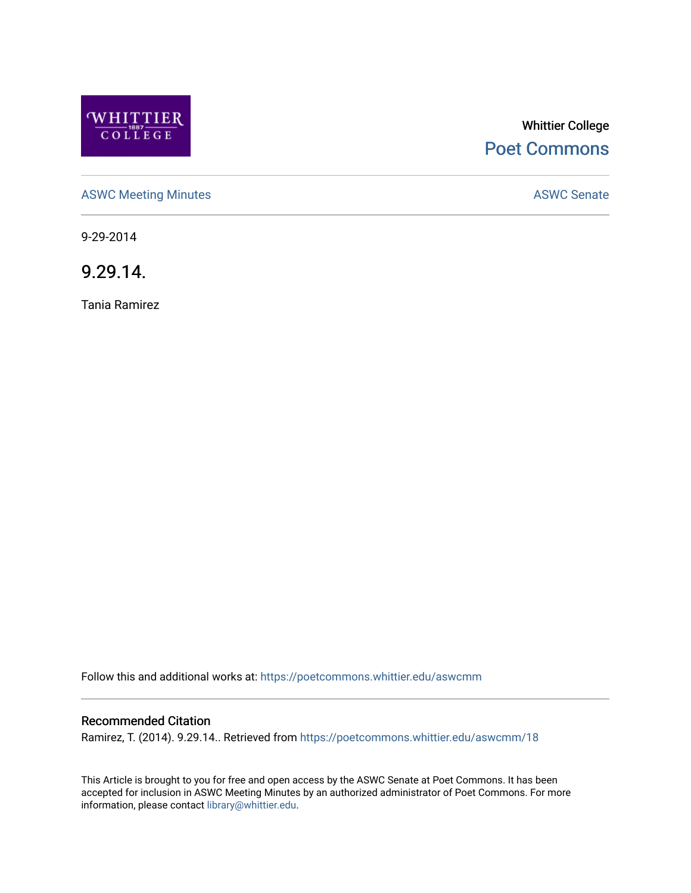

# Whittier College [Poet Commons](https://poetcommons.whittier.edu/)

[ASWC Meeting Minutes](https://poetcommons.whittier.edu/aswcmm) **ASWC Senate** 

9-29-2014

9.29.14.

Tania Ramirez

Follow this and additional works at: [https://poetcommons.whittier.edu/aswcmm](https://poetcommons.whittier.edu/aswcmm?utm_source=poetcommons.whittier.edu%2Faswcmm%2F18&utm_medium=PDF&utm_campaign=PDFCoverPages)

### Recommended Citation

Ramirez, T. (2014). 9.29.14.. Retrieved from [https://poetcommons.whittier.edu/aswcmm/18](https://poetcommons.whittier.edu/aswcmm/18?utm_source=poetcommons.whittier.edu%2Faswcmm%2F18&utm_medium=PDF&utm_campaign=PDFCoverPages) 

This Article is brought to you for free and open access by the ASWC Senate at Poet Commons. It has been accepted for inclusion in ASWC Meeting Minutes by an authorized administrator of Poet Commons. For more information, please contact [library@whittier.edu.](mailto:library@whittier.edu)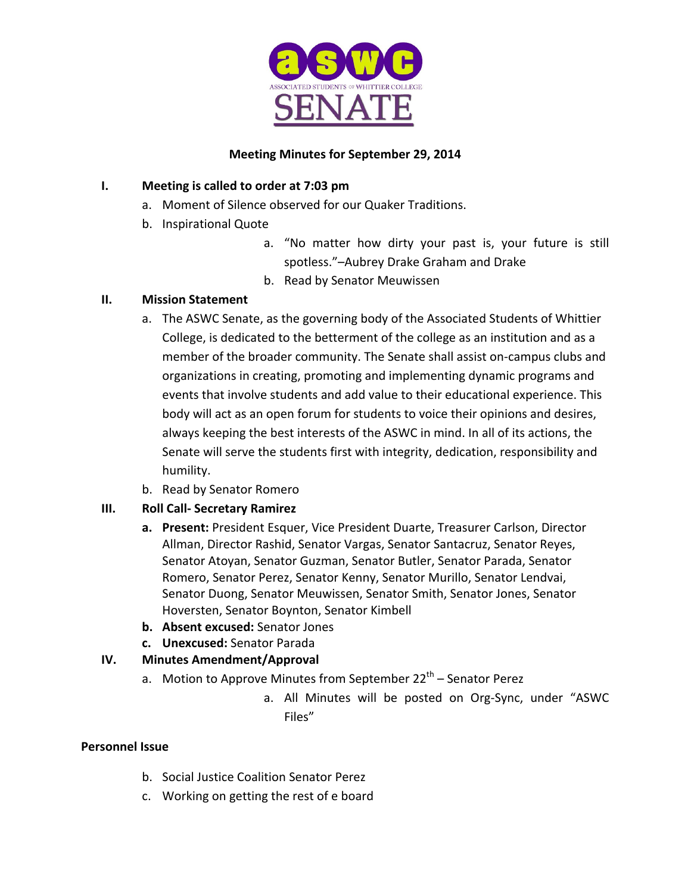

### **Meeting Minutes for September 29, 2014**

# **I.** Meeting is called to order at 7:03 pm

- a. Moment of Silence observed for our Quaker Traditions.
- b. Inspirational Quote
	- a. "No matter how dirty your past is, your future is still spotless."-Aubrey Drake Graham and Drake
	- b. Read by Senator Meuwissen

# **II. Mission Statement**

- a. The ASWC Senate, as the governing body of the Associated Students of Whittier College, is dedicated to the betterment of the college as an institution and as a member of the broader community. The Senate shall assist on-campus clubs and organizations in creating, promoting and implementing dynamic programs and events that involve students and add value to their educational experience. This body will act as an open forum for students to voice their opinions and desires, always keeping the best interests of the ASWC in mind. In all of its actions, the Senate will serve the students first with integrity, dedication, responsibility and humility.
- b. Read by Senator Romero

# **III. Roll Call- Secretary Ramirez**

- **a.** Present: President Esquer, Vice President Duarte, Treasurer Carlson, Director Allman, Director Rashid, Senator Vargas, Senator Santacruz, Senator Reyes, Senator Atoyan, Senator Guzman, Senator Butler, Senator Parada, Senator Romero, Senator Perez, Senator Kenny, Senator Murillo, Senator Lendvai, Senator Duong, Senator Meuwissen, Senator Smith, Senator Jones, Senator Hoversten, Senator Boynton, Senator Kimbell
- **b. Absent excused:** Senator Jones
- **c. Unexcused:** Senator Parada

# **IV. Minutes Amendment/Approval**

- a. Motion to Approve Minutes from September  $22<sup>th</sup>$  Senator Perez
	- a. All Minutes will be posted on Org-Sync, under "ASWC Files"

### **Personnel Issue**

- b. Social Justice Coalition Senator Perez
- c. Working on getting the rest of e board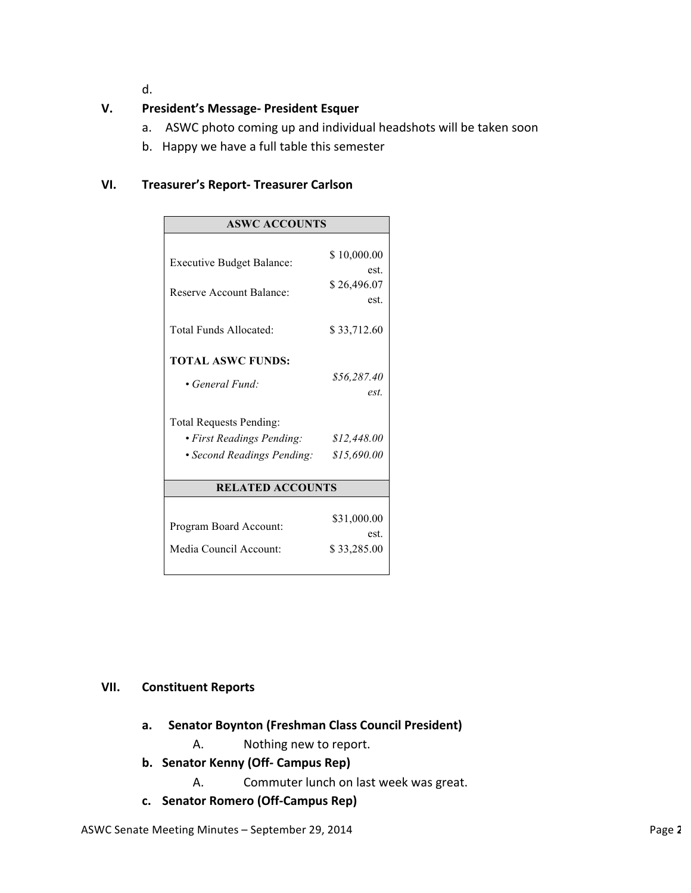d.

# **V. President's Message- President Esquer**

- a. ASWC photo coming up and individual headshots will be taken soon
- b. Happy we have a full table this semester

### **VI. Treasurer's Report- Treasurer Carlson**

| <b>ASWC ACCOUNTS</b>                                                   |                                            |
|------------------------------------------------------------------------|--------------------------------------------|
| <b>Executive Budget Balance:</b><br><b>Reserve Account Balance:</b>    | \$10,000.00<br>est.<br>\$26,496.07<br>est. |
| Total Funds Allocated:                                                 | \$33,712.60                                |
| <b>TOTAL ASWC FUNDS:</b><br>• General Fund:<br>Total Requests Pending: | \$56,287.40<br>est                         |
| • First Readings Pending:<br>• Second Readings Pending:                | \$12,448.00<br>\$15,690.00                 |
| <b>RELATED ACCOUNTS</b>                                                |                                            |
| Program Board Account:<br>Media Council Account:                       | \$31,000.00<br>est.<br>\$33,285.00         |

### **VII. Constituent Reports**

- **a. Senator Boynton (Freshman Class Council President)**
	- A. Nothing new to report.
- **b. Senator Kenny (Off- Campus Rep)**
	- A. Commuter lunch on last week was great.
- **c. Senator Romero (Off-Campus Rep)**

ASWC Senate Meeting Minutes – September 29, 2014 **Page 2** of *Page 2* and *Page 2* of *Page 2* of *Page 2*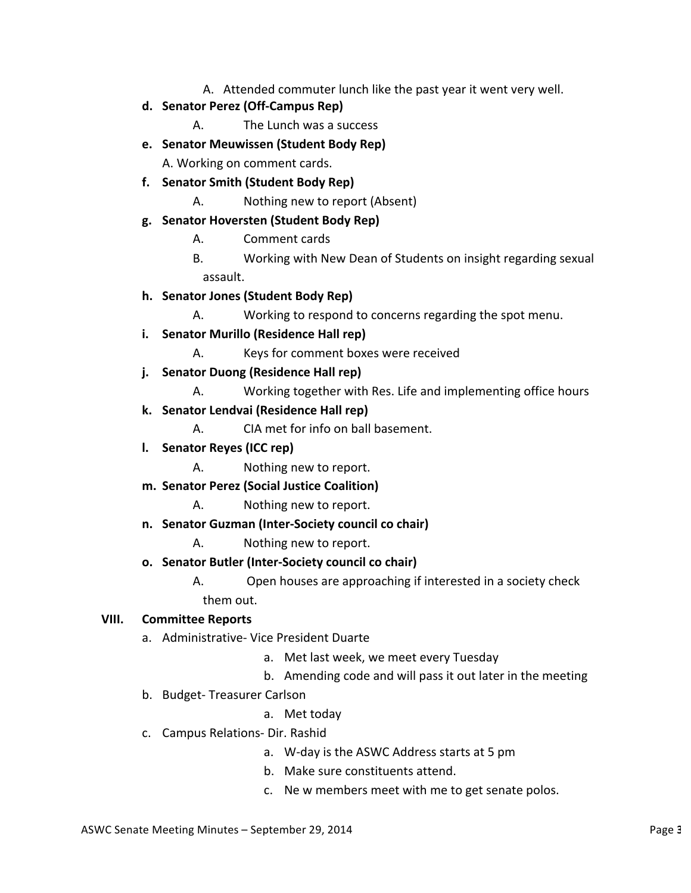A. Attended commuter lunch like the past year it went very well.

### **d. Senator Perez (Off-Campus Rep)**

- A. The Lunch was a success
- **e. Senator Meuwissen (Student Body Rep)**

A. Working on comment cards.

# **f. Senator Smith (Student Body Rep)**

A. Nothing new to report (Absent)

### **g. Senator Hoversten (Student Body Rep)**

- A. Comment cards
- B. Working with New Dean of Students on insight regarding sexual assault.

### **h. Senator Jones (Student Body Rep)**

- A. Working to respond to concerns regarding the spot menu.
- **i.** Senator Murillo (Residence Hall rep)
	- A. Keys for comment boxes were received

### **j. Senator Duong (Residence Hall rep)**

- A. Working together with Res. Life and implementing office hours
- **k. Senator Lendvai (Residence Hall rep)**
	- A. CIA met for info on ball basement.
- **l. Senator Reyes (ICC rep)**
	- A. Nothing new to report.
- **m. Senator Perez (Social Justice Coalition)**
	- A. Nothing new to report.
- **n. Senator Guzman (Inter-Society council co chair)**
	- A. Nothing new to report.
- **o. Senator Butler (Inter-Society council co chair)**

A. Open houses are approaching if interested in a society check them out.

#### **VIII. Committee Reports**

- a. Administrative- Vice President Duarte
	- a. Met last week, we meet every Tuesday
	- b. Amending code and will pass it out later in the meeting
- b. Budget- Treasurer Carlson
	- a. Met today
- c. Campus Relations- Dir. Rashid
	- a. W-day is the ASWC Address starts at 5 pm
	- b. Make sure constituents attend.
	- c. Ne w members meet with me to get senate polos.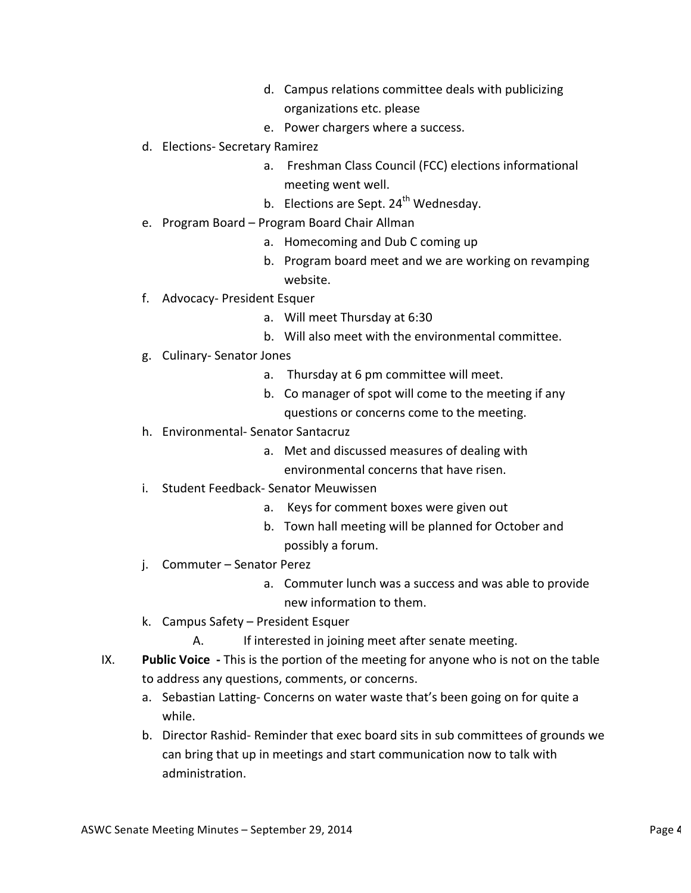- d. Campus relations committee deals with publicizing organizations etc. please
- e. Power chargers where a success.
- d. Elections- Secretary Ramirez
	- a. Freshman Class Council (FCC) elections informational meeting went well.
	- b. Elections are Sept.  $24<sup>th</sup>$  Wednesday.
- e. Program Board Program Board Chair Allman
	- a. Homecoming and Dub C coming up
	- b. Program board meet and we are working on revamping website.
- f. Advocacy- President Esquer
	- a. Will meet Thursday at 6:30
	- b. Will also meet with the environmental committee.
- g. Culinary- Senator Jones
	- a. Thursday at 6 pm committee will meet.
	- b. Co manager of spot will come to the meeting if any questions or concerns come to the meeting.
- h. Environmental- Senator Santacruz
	- a. Met and discussed measures of dealing with environmental concerns that have risen.
- i. Student Feedback- Senator Meuwissen
	- a. Keys for comment boxes were given out
	- b. Town hall meeting will be planned for October and possibly a forum.
- j. Commuter Senator Perez
	- a. Commuter lunch was a success and was able to provide new information to them.
- k. Campus Safety President Esquer
	- A. If interested in joining meet after senate meeting.
- IX. Public Voice This is the portion of the meeting for anyone who is not on the table to address any questions, comments, or concerns.
	- a. Sebastian Latting- Concerns on water waste that's been going on for quite a while.
	- b. Director Rashid- Reminder that exec board sits in sub committees of grounds we can bring that up in meetings and start communication now to talk with administration.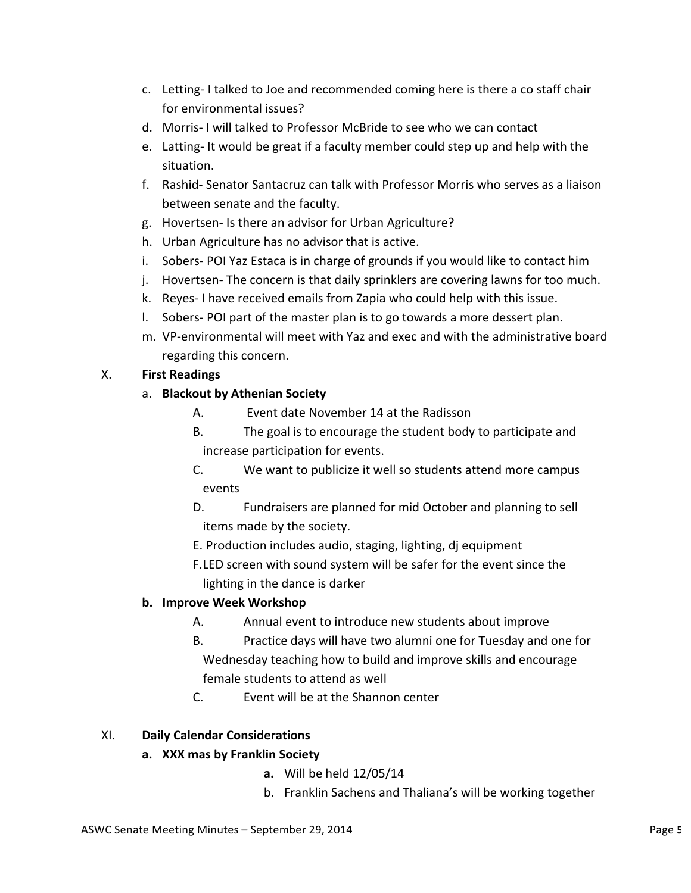- c. Letting-I talked to Joe and recommended coming here is there a co staff chair for environmental issues?
- d. Morris- I will talked to Professor McBride to see who we can contact
- e. Latting- It would be great if a faculty member could step up and help with the situation.
- f. Rashid- Senator Santacruz can talk with Professor Morris who serves as a liaison between senate and the faculty.
- g. Hovertsen- Is there an advisor for Urban Agriculture?
- h. Urban Agriculture has no advisor that is active.
- i. Sobers- POI Yaz Estaca is in charge of grounds if you would like to contact him
- j. Hovertsen- The concern is that daily sprinklers are covering lawns for too much.
- k. Reyes- I have received emails from Zapia who could help with this issue.
- I. Sobers- POI part of the master plan is to go towards a more dessert plan.
- m. VP-environmental will meet with Yaz and exec and with the administrative board regarding this concern.

# X. **First Readings**

- a. **Blackout by Athenian Society** 
	- A. Event date November 14 at the Radisson
	- B. The goal is to encourage the student body to participate and increase participation for events.
	- C. We want to publicize it well so students attend more campus events
	- D. Fundraisers are planned for mid October and planning to sell items made by the society.
	- E. Production includes audio, staging, lighting, dj equipment
	- F.LED screen with sound system will be safer for the event since the lighting in the dance is darker

### **b. Improve Week Workshop**

- A. Annual event to introduce new students about improve
- B. Practice days will have two alumni one for Tuesday and one for Wednesday teaching how to build and improve skills and encourage female students to attend as well
- C. Event will be at the Shannon center

### XI. **Daily Calendar Considerations**

- **a. XXX mas by Franklin Society** 
	- **a.** Will be held 12/05/14
	- b. Franklin Sachens and Thaliana's will be working together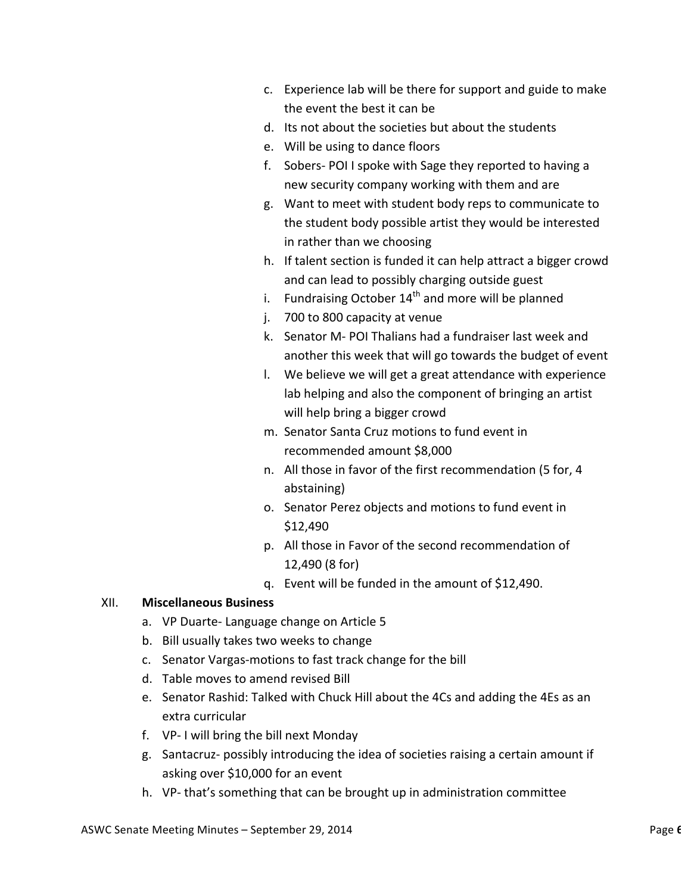- c. Experience lab will be there for support and guide to make the event the best it can be
- d. Its not about the societies but about the students
- e. Will be using to dance floors
- f. Sobers- POI I spoke with Sage they reported to having a new security company working with them and are
- g. Want to meet with student body reps to communicate to the student body possible artist they would be interested in rather than we choosing
- h. If talent section is funded it can help attract a bigger crowd and can lead to possibly charging outside guest
- i. Fundraising October  $14<sup>th</sup>$  and more will be planned
- j. 700 to 800 capacity at venue
- k. Senator M- POI Thalians had a fundraiser last week and another this week that will go towards the budget of event
- I. We believe we will get a great attendance with experience lab helping and also the component of bringing an artist will help bring a bigger crowd
- m. Senator Santa Cruz motions to fund event in recommended amount \$8,000
- n. All those in favor of the first recommendation (5 for, 4 abstaining)
- o. Senator Perez objects and motions to fund event in \$12,490
- p. All those in Favor of the second recommendation of 12,490 (8 for)
- q. Event will be funded in the amount of \$12,490.

#### XII. **Miscellaneous Business**

- a. VP Duarte- Language change on Article 5
- b. Bill usually takes two weeks to change
- c. Senator Vargas-motions to fast track change for the bill
- d. Table moves to amend revised Bill
- e. Senator Rashid: Talked with Chuck Hill about the 4Cs and adding the 4Es as an extra curricular
- f. VP- I will bring the bill next Monday
- g. Santacruz- possibly introducing the idea of societies raising a certain amount if asking over \$10,000 for an event
- h. VP- that's something that can be brought up in administration committee